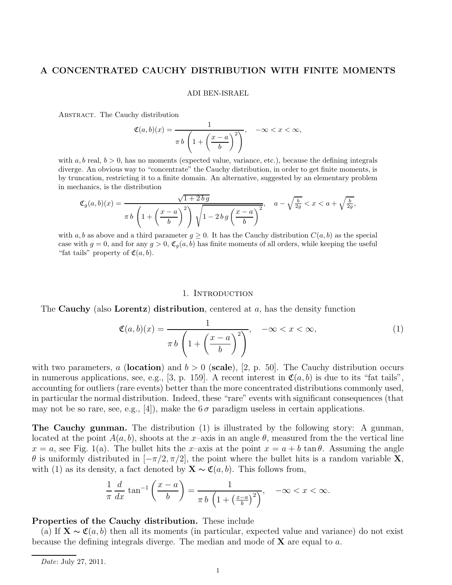## A CONCENTRATED CAUCHY DISTRIBUTION WITH FINITE MOMENTS

#### ADI BEN-ISRAEL

Abstract. The Cauchy distribution

$$
\mathfrak{C}(a,b)(x) = \frac{1}{\pi b \left(1 + \left(\frac{x-a}{b}\right)^2\right)}, \quad -\infty < x < \infty,
$$

with  $a, b$  real,  $b > 0$ , has no moments (expected value, variance, etc.), because the defining integrals diverge. An obvious way to "concentrate" the Cauchy distribution, in order to get finite moments, is by truncation, restricting it to a finite domain. An alternative, suggested by an elementary problem in mechanics, is the distribution

$$
\mathfrak{C}_g(a,b)(x) = \frac{\sqrt{1+2\,b\,g}}{\pi\,b\,\left(1+\left(\frac{x-a}{b}\right)^2\right)\sqrt{1-2\,b\,g\left(\frac{x-a}{b}\right)^2}}, \quad a - \sqrt{\frac{b}{2g}} < x < a + \sqrt{\frac{b}{2g}},
$$

with a, b as above and a third parameter  $g \geq 0$ . It has the Cauchy distribution  $C(a, b)$  as the special case with  $g = 0$ , and for any  $g > 0$ ,  $\mathfrak{C}_q(a, b)$  has finite moments of all orders, while keeping the useful "fat tails" property of  $\mathfrak{C}(a, b)$ .

### 1. INTRODUCTION

The Cauchy (also Lorentz) distribution, centered at  $a$ , has the density function

$$
\mathfrak{C}(a,b)(x) = \frac{1}{\pi b \left(1 + \left(\frac{x-a}{b}\right)^2\right)}, \quad -\infty < x < \infty,\tag{1}
$$

with two parameters, a (location) and  $b > 0$  (scale), [2, p. 50]. The Cauchy distribution occurs in numerous applications, see, e.g., [3, p. 159]. A recent interest in  $\mathfrak{C}(a, b)$  is due to its "fat tails", accounting for outliers (rare events) better than the more concentrated distributions commonly used, in particular the normal distribution. Indeed, these "rare" events with significant consequences (that may not be so rare, see, e.g., [4]), make the  $6\sigma$  paradigm useless in certain applications.

The Cauchy gunman. The distribution (1) is illustrated by the following story: A gunman, located at the point  $A(a, b)$ , shoots at the x–axis in an angle  $\theta$ , measured from the the vertical line  $x = a$ , see Fig. 1(a). The bullet hits the x-axis at the point  $x = a + b \tan \theta$ . Assuming the angle  $\theta$  is uniformly distributed in  $[-\pi/2, \pi/2]$ , the point where the bullet hits is a random variable **X**, with (1) as its density, a fact denoted by  $\mathbf{X} \sim \mathfrak{C}(a, b)$ . This follows from,

$$
\frac{1}{\pi} \frac{d}{dx} \tan^{-1} \left( \frac{x-a}{b} \right) = \frac{1}{\pi b \left( 1 + \left( \frac{x-a}{b} \right)^2 \right)}, \quad -\infty < x < \infty.
$$

## Properties of the Cauchy distribution. These include

(a) If  $\mathbf{X} \sim \mathfrak{C}(a, b)$  then all its moments (in particular, expected value and variance) do not exist because the defining integrals diverge. The median and mode of  $X$  are equal to  $a$ .

Date: July 27, 2011.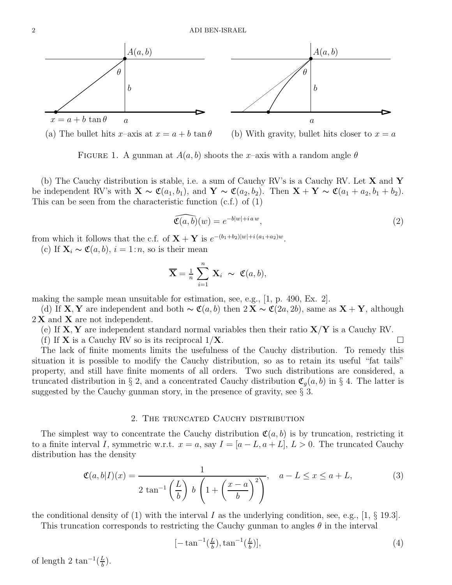

(a) The bullet hits x–axis at  $x = a + b \tan \theta$  (b) With gravity, bullet hits closer to  $x = a$ 

FIGURE 1. A gunman at  $A(a, b)$  shoots the x-axis with a random angle  $\theta$ 

(b) The Cauchy distribution is stable, i.e. a sum of Cauchy RV's is a Cauchy RV. Let  $X$  and  $Y$ be independent RV's with  $\mathbf{X} \sim \mathfrak{C}(a_1, b_1)$ , and  $\mathbf{Y} \sim \mathfrak{C}(a_2, b_2)$ . Then  $\mathbf{X} + \mathbf{Y} \sim \mathfrak{C}(a_1 + a_2, b_1 + b_2)$ . This can be seen from the characteristic function (c.f.) of (1)

$$
\widehat{\mathfrak{C}(a,b)}(w) = e^{-b|w|+iaw},\tag{2}
$$

from which it follows that the c.f. of  $X + Y$  is  $e^{-(b_1+b_2)|w|+i(a_1+a_2)w}$ .

(c) If  $\mathbf{X}_i \sim \mathfrak{C}(a, b), i = 1:n$ , so is their mean

$$
\overline{\mathbf{X}} = \frac{1}{n} \sum_{i=1}^{n} \mathbf{X}_i \sim \mathfrak{C}(a, b),
$$

making the sample mean unsuitable for estimation, see, e.g., [1, p. 490, Ex. 2].

(d) If **X**, Y are independent and both  $\sim \mathfrak{C}(a, b)$  then  $2X \sim \mathfrak{C}(2a, 2b)$ , same as  $X + Y$ , although  $2 \mathbf{X}$  and  $\mathbf{X}$  are not independent.

(e) If  $X, Y$  are independent standard normal variables then their ratio  $X/Y$  is a Cauchy RV.

(f) If **X** is a Cauchy RV so is its reciprocal  $1/X$ .

The lack of finite moments limits the usefulness of the Cauchy distribution. To remedy this situation it is possible to modify the Cauchy distribution, so as to retain its useful "fat tails" property, and still have finite moments of all orders. Two such distributions are considered, a truncated distribution in § 2, and a concentrated Cauchy distribution  $\mathfrak{C}_q(a, b)$  in § 4. The latter is suggested by the Cauchy gunman story, in the presence of gravity, see § 3.

## 2. The truncated Cauchy distribution

The simplest way to concentrate the Cauchy distribution  $\mathfrak{C}(a, b)$  is by truncation, restricting it to a finite interval I, symmetric w.r.t.  $x = a$ , say  $I = [a - L, a + L], L > 0$ . The truncated Cauchy distribution has the density

$$
\mathfrak{C}(a,b|I)(x) = \frac{1}{2\tan^{-1}\left(\frac{L}{b}\right)b\left(1+\left(\frac{x-a}{b}\right)^2\right)}, \quad a - L \le x \le a + L,\tag{3}
$$

the conditional density of (1) with the interval I as the underlying condition, see, e.g., [1,  $\S$  19.3]. This truncation corresponds to restricting the Cauchy gunman to angles  $\theta$  in the interval

$$
[-\tan^{-1}\left(\frac{L}{b}\right), \tan^{-1}\left(\frac{L}{b}\right)],\tag{4}
$$

of length 2 tan<sup>-1</sup>( $\frac{L}{b}$  $\frac{L}{b}$ ).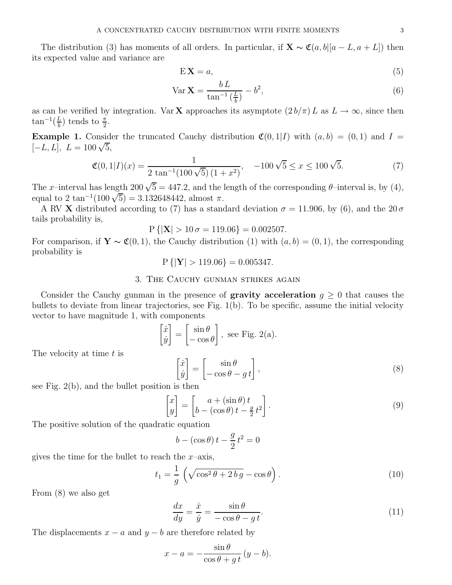$$
E\mathbf{X} = a,\tag{5}
$$

$$
\text{Var } \mathbf{X} = \frac{b \, L}{\tan^{-1} \left( \frac{L}{b} \right)} - b^2,\tag{6}
$$

as can be verified by integration. Var **X** approaches its asymptote  $(2 b/\pi) L$  as  $L \to \infty$ , since then  $\tan^{-1}(\frac{L}{h})$  $\frac{L}{b}$ ) tends to  $\frac{\pi}{2}$ .

**Example 1.** Consider the truncated Cauchy distribution  $\mathfrak{C}(0,1|I)$  with  $(a, b) = (0, 1)$  and  $I =$  $[-L, L], L = 100\sqrt{5},$ 

$$
\mathfrak{C}(0,1|I)(x) = \frac{1}{2 \tan^{-1}(100\sqrt{5})(1+x^2)}, \quad -100\sqrt{5} \le x \le 100\sqrt{5}.
$$
 (7)

The x–interval has length  $200\sqrt{5} = 447.2$ , and the length of the corresponding  $\theta$ –interval is, by (4), equal to 2 tan<sup>-1</sup>(100  $\sqrt{5}$ ) = 3.132648442, almost  $\pi$ .

A RV X distributed according to (7) has a standard deviation  $\sigma = 11.906$ , by (6), and the 20 $\sigma$ tails probability is,

$$
P\left\{ \left|\mathbf{X}\right| > 10\,\sigma = 119.06 \right\} = 0.002507.
$$

For comparison, if  $\mathbf{Y} \sim \mathfrak{C}(0,1)$ , the Cauchy distribution (1) with  $(a, b) = (0, 1)$ , the corresponding probability is

$$
P\{|Y| > 119.06\} = 0.005347.
$$

# 3. The Cauchy gunman strikes again

Consider the Cauchy gunman in the presence of **gravity acceleration**  $g \geq 0$  that causes the bullets to deviate from linear trajectories, see Fig. 1(b). To be specific, assume the initial velocity vector to have magnitude 1, with components

$$
\begin{bmatrix} \dot{x} \\ \dot{y} \end{bmatrix} = \begin{bmatrix} \sin \theta \\ -\cos \theta \end{bmatrix}, \text{ see Fig. 2(a).}
$$

The velocity at time  $t$  is

$$
\begin{bmatrix} \dot{x} \\ \dot{y} \end{bmatrix} = \begin{bmatrix} \sin \theta \\ -\cos \theta - gt \end{bmatrix},\tag{8}
$$

see Fig. 2(b), and the bullet position is then

$$
\begin{bmatrix} x \\ y \end{bmatrix} = \begin{bmatrix} a + (\sin \theta) t \\ b - (\cos \theta) t - \frac{g}{2} t^2 \end{bmatrix}.
$$
 (9)

The positive solution of the quadratic equation

$$
b - (\cos \theta) t - \frac{g}{2} t^2 = 0
$$

gives the time for the bullet to reach the  $x$ –axis,

$$
t_1 = \frac{1}{g} \left( \sqrt{\cos^2 \theta + 2 \, b \, g} - \cos \theta \right). \tag{10}
$$

From (8) we also get

$$
\frac{dx}{dy} = \frac{\dot{x}}{\dot{y}} = \frac{\sin \theta}{-\cos \theta - g t}.
$$
\n(11)

The displacements  $x - a$  and  $y - b$  are therefore related by

$$
x - a = -\frac{\sin \theta}{\cos \theta + gt} (y - b).
$$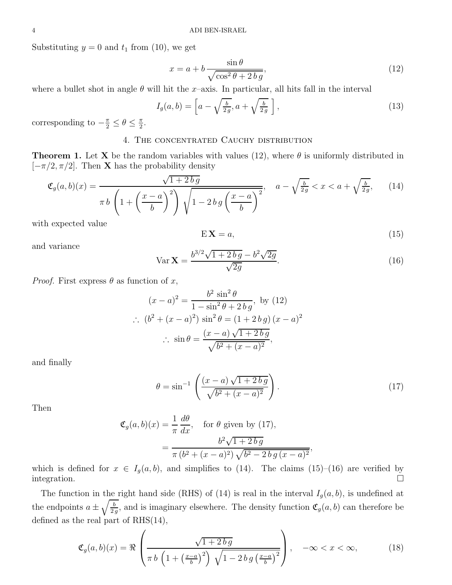Substituting  $y = 0$  and  $t_1$  from (10), we get

$$
x = a + b \frac{\sin \theta}{\sqrt{\cos^2 \theta + 2 \, b \, g}},\tag{12}
$$

where a bullet shot in angle  $\theta$  will hit the x-axis. In particular, all hits fall in the interval

$$
I_g(a,b) = \left[ a - \sqrt{\frac{b}{2g}}, a + \sqrt{\frac{b}{2g}} \right],
$$
\n(13)

corresponding to  $-\frac{\pi}{2} \le \theta \le \frac{\pi}{2}$  $\frac{\pi}{2}$ .

# 4. The concentrated Cauchy distribution

**Theorem 1.** Let **X** be the random variables with values (12), where  $\theta$  is uniformly distributed in  $[-\pi/2, \pi/2]$ . Then **X** has the probability density

$$
\mathfrak{C}_g(a,b)(x) = \frac{\sqrt{1+2\,b\,g}}{\pi\,b\,\left(1+\left(\frac{x-a}{b}\right)^2\right)\sqrt{1-2\,b\,g\left(\frac{x-a}{b}\right)^2}}, \quad a - \sqrt{\frac{b}{2\,g}} < x < a + \sqrt{\frac{b}{2\,g}},\tag{14}
$$

with expected value

$$
E\mathbf{X} = a,\tag{15}
$$

and variance

$$
\text{Var}\,\mathbf{X} = \frac{b^{3/2}\sqrt{1+2\,b\,g} - b^2\sqrt{2g}}{\sqrt{2g}}.\tag{16}
$$

*Proof.* First express  $\theta$  as function of x,

$$
(x - a)^2 = \frac{b^2 \sin^2 \theta}{1 - \sin^2 \theta + 2 \, b \, g}, \text{ by (12)}
$$
  
\n
$$
\therefore (b^2 + (x - a)^2) \sin^2 \theta = (1 + 2 \, b \, g)(x - a)^2
$$
  
\n
$$
\therefore \sin \theta = \frac{(x - a)\sqrt{1 + 2 \, b \, g}}{\sqrt{b^2 + (x - a)^2}},
$$

and finally

$$
\theta = \sin^{-1} \left( \frac{(x-a)\sqrt{1+2b g}}{\sqrt{b^2 + (x-a)^2}} \right).
$$
\n(17)

Then

$$
\mathfrak{C}_g(a, b)(x) = \frac{1}{\pi} \frac{d\theta}{dx}, \quad \text{for } \theta \text{ given by (17)},
$$

$$
= \frac{b^2 \sqrt{1 + 2 \, b \, g}}{\pi \, (b^2 + (x - a)^2) \, \sqrt{b^2 - 2 \, b \, g \, (x - a)^2}},
$$

which is defined for  $x \in I_g(a, b)$ , and simplifies to (14). The claims (15)–(16) are verified by integration. integration.

The function in the right hand side (RHS) of (14) is real in the interval  $I_g(a, b)$ , is undefined at the endpoints  $a \pm \sqrt{\frac{b}{2g}}$ , and is imaginary elsewhere. The density function  $\mathfrak{C}_g(a, b)$  can therefore be defined as the real part of RHS(14),

$$
\mathfrak{C}_g(a,b)(x) = \Re\left(\frac{\sqrt{1+2\,b\,g}}{\pi\,b\,\left(1+\left(\frac{x-a}{b}\right)^2\right)\,\sqrt{1-2\,b\,g\left(\frac{x-a}{b}\right)^2}}\right), \quad -\infty < x < \infty,\tag{18}
$$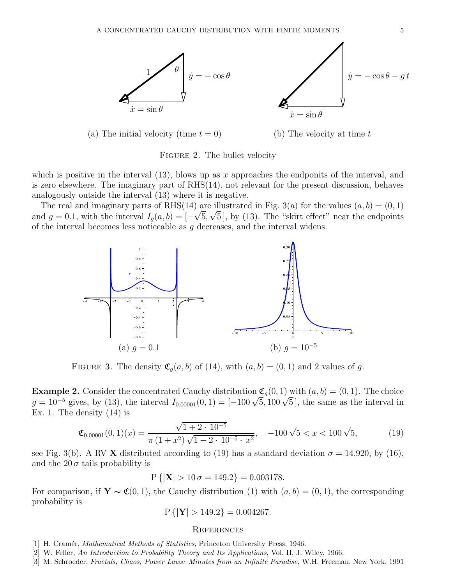

(a) The initial velocity (time  $t = 0$ ) (b) The velocity at time t

Figure 2. The bullet velocity

which is positive in the interval  $(13)$ , blows up as x approaches the endponits of the interval, and is zero elsewhere. The imaginary part of RHS(14), not relevant for the present discussion, behaves analogously outside the interval (13) where it is negative.

The real and imaginary parts of RHS(14) are illustrated in Fig. 3(a) for the values  $(a, b) = (0, 1)$ and  $g = 0.1$ , with the interval  $I_g(a, b) = [-\sqrt{5}, \sqrt{5}]$ , by (13). The "skirt effect" near the endpoints of the interval becomes less noticeable as g decreases, and the interval widens.



FIGURE 3. The density  $\mathfrak{C}_g(a, b)$  of (14), with  $(a, b) = (0, 1)$  and 2 values of g.

**Example 2.** Consider the concentrated Cauchy distribution  $\mathfrak{C}_g(0,1)$  with  $(a, b) = (0, 1)$ . The choice  $g = 10^{-5}$  gives, by (13), the interval  $I_{0.00001}(0,1) = [-100\sqrt{5}, 100\sqrt{5}]$ , the same as the interval in Ex. 1. The density  $(14)$  is

$$
\mathfrak{C}_{0.00001}(0,1)(x) = \frac{\sqrt{1+2 \cdot 10^{-5}}}{\pi \left(1+x^2\right) \sqrt{1-2 \cdot 10^{-5} \cdot x^2}}, \quad -100\sqrt{5} < x < 100\sqrt{5},\tag{19}
$$

see Fig. 3(b). A RV X distributed according to (19) has a standard deviation  $\sigma = 14.920$ , by (16), and the  $20\sigma$  tails probability is

 $P\{|X| > 10 \sigma = 149.2\} = 0.003178.$ 

For comparison, if  $\mathbf{Y} \sim \mathfrak{C}(0,1)$ , the Cauchy distribution (1) with  $(a, b) = (0, 1)$ , the corresponding probability is

$$
P\{|Y| > 149.2\} = 0.004267.
$$

### **REFERENCES**

- [1] H. Cramér, *Mathematical Methods of Statistics*, Princeton University Press, 1946.
- [2] W. Feller, An Introduction to Probability Theory and Its Applications, Vol. II, J. Wiley, 1966.
- [3] M. Schroeder, Fractals, Chaos, Power Laws: Minutes from an Infinite Paradise, W.H. Freeman, New York, 1991